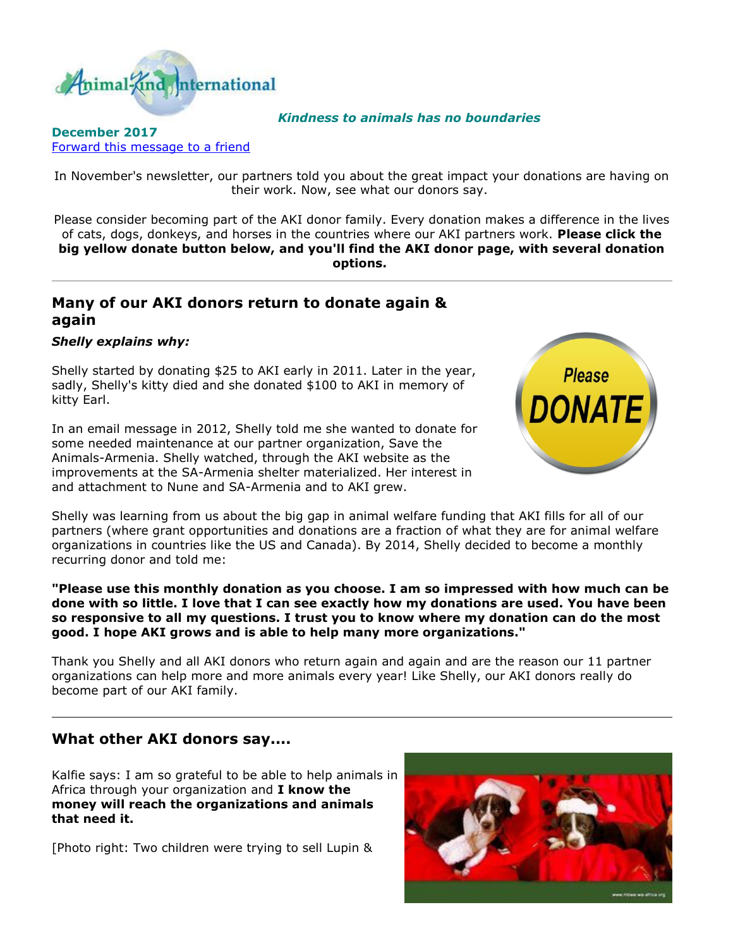

*Kindness to animals has no boundaries*

## **December 2017** [Forward this message to a friend](http://oi.vresp.com/f2af/v4/send_to_friend.html?ch=e64b0d9321&lid=284351439&ldh=4d75da415c)

In November's newsletter, our partners told you about the great impact your donations are having on their work. Now, see what our donors say.

Please consider becoming part of the AKI donor family. Every donation makes a difference in the lives of cats, dogs, donkeys, and horses in the countries where our AKI partners work. **Please click the big yellow donate button below, and you'll find the AKI donor page, with several donation options.**

## **Many of our AKI donors return to donate again & again**

## *Shelly explains why:*

Shelly started by donating \$25 to AKI early in 2011. Later in the year, sadly, Shelly's kitty died and she donated \$100 to AKI in memory of kitty Earl.

In an email message in 2012, Shelly told me she wanted to donate for some needed maintenance at our partner organization, Save the Animals-Armenia. Shelly watched, through the AKI website as the improvements at the SA-Armenia shelter materialized. Her interest in and attachment to Nune and SA-Armenia and to AKI grew.



Shelly was learning from us about the big gap in animal welfare funding that AKI fills for all of our partners (where grant opportunities and donations are a fraction of what they are for animal welfare organizations in countries like the US and Canada). By 2014, Shelly decided to become a monthly recurring donor and told me:

**"Please use this monthly donation as you choose. I am so impressed with how much can be done with so little. I love that I can see exactly how my donations are used. You have been so responsive to all my questions. I trust you to know where my donation can do the most good. I hope AKI grows and is able to help many more organizations."**

Thank you Shelly and all AKI donors who return again and again and are the reason our 11 partner organizations can help more and more animals every year! Like Shelly, our AKI donors really do become part of our AKI family.

## **What other AKI donors say....**

Kalfie says: I am so grateful to be able to help animals in Africa through your organization and **I know the money will reach the organizations and animals that need it.**

[Photo right: Two children were trying to sell Lupin &